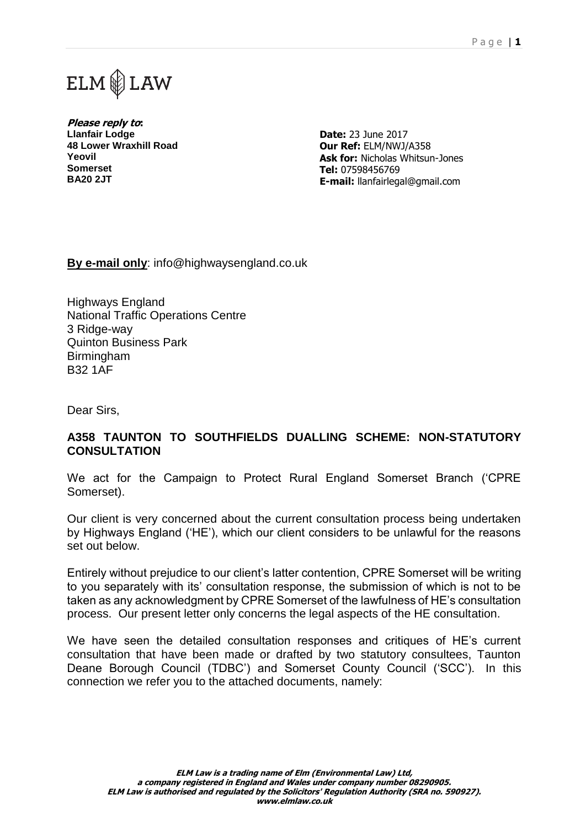



**Please reply to: Llanfair Lodge 48 Lower Wraxhill Road Yeovil Somerset BA20 2JT**

**Date:** 23 June 2017 **Our Ref:** ELM/NWJ/A358 **Ask for:** Nicholas Whitsun-Jones **Tel:** 07598456769 **E-mail:** llanfairlegal@gmail.com

**By e-mail only**: info@highwaysengland.co.uk

Highways England National Traffic Operations Centre 3 Ridge-way Quinton Business Park Birmingham B32 1AF

Dear Sirs,

## **A358 TAUNTON TO SOUTHFIELDS DUALLING SCHEME: NON-STATUTORY CONSULTATION**

We act for the Campaign to Protect Rural England Somerset Branch ('CPRE Somerset).

Our client is very concerned about the current consultation process being undertaken by Highways England ('HE'), which our client considers to be unlawful for the reasons set out below.

Entirely without prejudice to our client's latter contention, CPRE Somerset will be writing to you separately with its' consultation response, the submission of which is not to be taken as any acknowledgment by CPRE Somerset of the lawfulness of HE's consultation process. Our present letter only concerns the legal aspects of the HE consultation.

We have seen the detailed consultation responses and critiques of HE's current consultation that have been made or drafted by two statutory consultees, Taunton Deane Borough Council (TDBC') and Somerset County Council ('SCC'). In this connection we refer you to the attached documents, namely: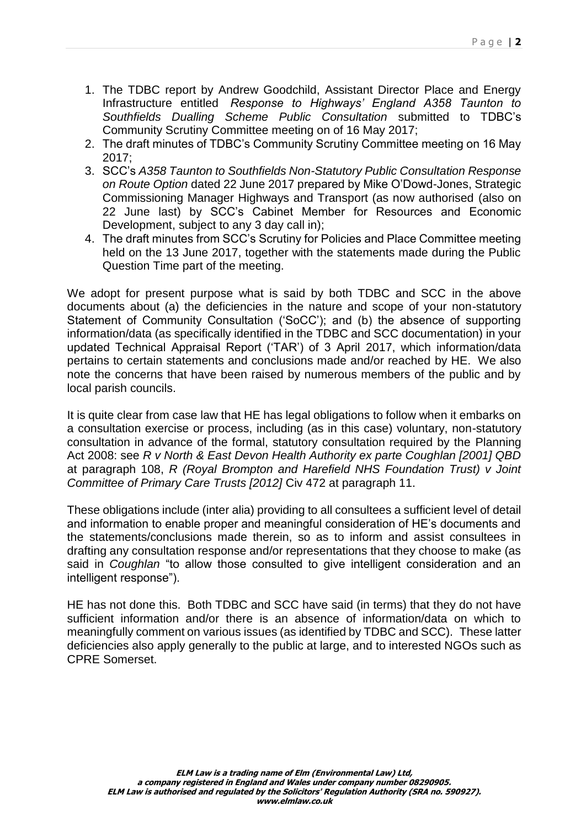- 1. The TDBC report by Andrew Goodchild, Assistant Director Place and Energy Infrastructure entitled *Response to Highways' England A358 Taunton to Southfields Dualling Scheme Public Consultation* submitted to TDBC's Community Scrutiny Committee meeting on of 16 May 2017;
- 2. The draft minutes of TDBC's Community Scrutiny Committee meeting on 16 May  $2017$
- 3. SCC's *A358 Taunton to Southfields Non-Statutory Public Consultation Response on Route Option* dated 22 June 2017 prepared by Mike O'Dowd-Jones, Strategic Commissioning Manager Highways and Transport (as now authorised (also on 22 June last) by SCC's Cabinet Member for Resources and Economic Development, subject to any 3 day call in);
- 4. The draft minutes from SCC's Scrutiny for Policies and Place Committee meeting held on the 13 June 2017, together with the statements made during the Public Question Time part of the meeting.

We adopt for present purpose what is said by both TDBC and SCC in the above documents about (a) the deficiencies in the nature and scope of your non-statutory Statement of Community Consultation ('SoCC'); and (b) the absence of supporting information/data (as specifically identified in the TDBC and SCC documentation) in your updated Technical Appraisal Report ('TAR') of 3 April 2017, which information/data pertains to certain statements and conclusions made and/or reached by HE. We also note the concerns that have been raised by numerous members of the public and by local parish councils.

It is quite clear from case law that HE has legal obligations to follow when it embarks on a consultation exercise or process, including (as in this case) voluntary, non-statutory consultation in advance of the formal, statutory consultation required by the Planning Act 2008: see *R v North & East Devon Health Authority ex parte Coughlan [2001] QBD* at paragraph 108, *R (Royal Brompton and Harefield NHS Foundation Trust) v Joint Committee of Primary Care Trusts [2012]* Civ 472 at paragraph 11.

These obligations include (inter alia) providing to all consultees a sufficient level of detail and information to enable proper and meaningful consideration of HE's documents and the statements/conclusions made therein, so as to inform and assist consultees in drafting any consultation response and/or representations that they choose to make (as said in *Coughlan* "to allow those consulted to give intelligent consideration and an intelligent response").

HE has not done this. Both TDBC and SCC have said (in terms) that they do not have sufficient information and/or there is an absence of information/data on which to meaningfully comment on various issues (as identified by TDBC and SCC). These latter deficiencies also apply generally to the public at large, and to interested NGOs such as CPRE Somerset.